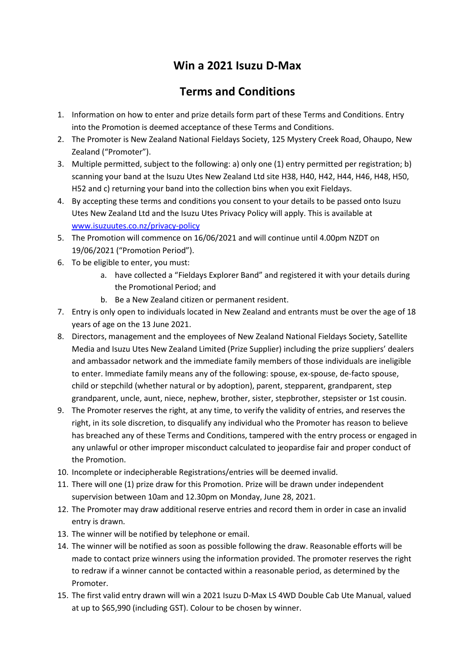## **Win a 2021 Isuzu D-Max**

## **Terms and Conditions**

- 1. Information on how to enter and prize details form part of these Terms and Conditions. Entry into the Promotion is deemed acceptance of these Terms and Conditions.
- 2. The Promoter is New Zealand National Fieldays Society, 125 Mystery Creek Road, Ohaupo, New Zealand ("Promoter").
- 3. Multiple permitted, subject to the following: a) only one (1) entry permitted per registration; b) scanning your band at the Isuzu Utes New Zealand Ltd site H38, H40, H42, H44, H46, H48, H50, H52 and c) returning your band into the collection bins when you exit Fieldays.
- 4. By accepting these terms and conditions you consent to your details to be passed onto Isuzu Utes New Zealand Ltd and the Isuzu Utes Privacy Policy will apply. This is available at [www.isuzuutes.co.nz/privacy-policy](http://www.isuzuutes.co.nz/privacy-policy)
- 5. The Promotion will commence on 16/06/2021 and will continue until 4.00pm NZDT on 19/06/2021 ("Promotion Period").
- 6. To be eligible to enter, you must:
	- a. have collected a "Fieldays Explorer Band" and registered it with your details during the Promotional Period; and
	- b. Be a New Zealand citizen or permanent resident.
- 7. Entry is only open to individuals located in New Zealand and entrants must be over the age of 18 years of age on the 13 June 2021.
- 8. Directors, management and the employees of New Zealand National Fieldays Society, Satellite Media and Isuzu Utes New Zealand Limited (Prize Supplier) including the prize suppliers' dealers and ambassador network and the immediate family members of those individuals are ineligible to enter. Immediate family means any of the following: spouse, ex-spouse, de-facto spouse, child or stepchild (whether natural or by adoption), parent, stepparent, grandparent, step grandparent, uncle, aunt, niece, nephew, brother, sister, stepbrother, stepsister or 1st cousin.
- 9. The Promoter reserves the right, at any time, to verify the validity of entries, and reserves the right, in its sole discretion, to disqualify any individual who the Promoter has reason to believe has breached any of these Terms and Conditions, tampered with the entry process or engaged in any unlawful or other improper misconduct calculated to jeopardise fair and proper conduct of the Promotion.
- 10. Incomplete or indecipherable Registrations/entries will be deemed invalid.
- 11. There will one (1) prize draw for this Promotion. Prize will be drawn under independent supervision between 10am and 12.30pm on Monday, June 28, 2021.
- 12. The Promoter may draw additional reserve entries and record them in order in case an invalid entry is drawn.
- 13. The winner will be notified by telephone or email.
- 14. The winner will be notified as soon as possible following the draw. Reasonable efforts will be made to contact prize winners using the information provided. The promoter reserves the right to redraw if a winner cannot be contacted within a reasonable period, as determined by the Promoter.
- 15. The first valid entry drawn will win a 2021 Isuzu D-Max LS 4WD Double Cab Ute Manual, valued at up to \$65,990 (including GST). Colour to be chosen by winner.